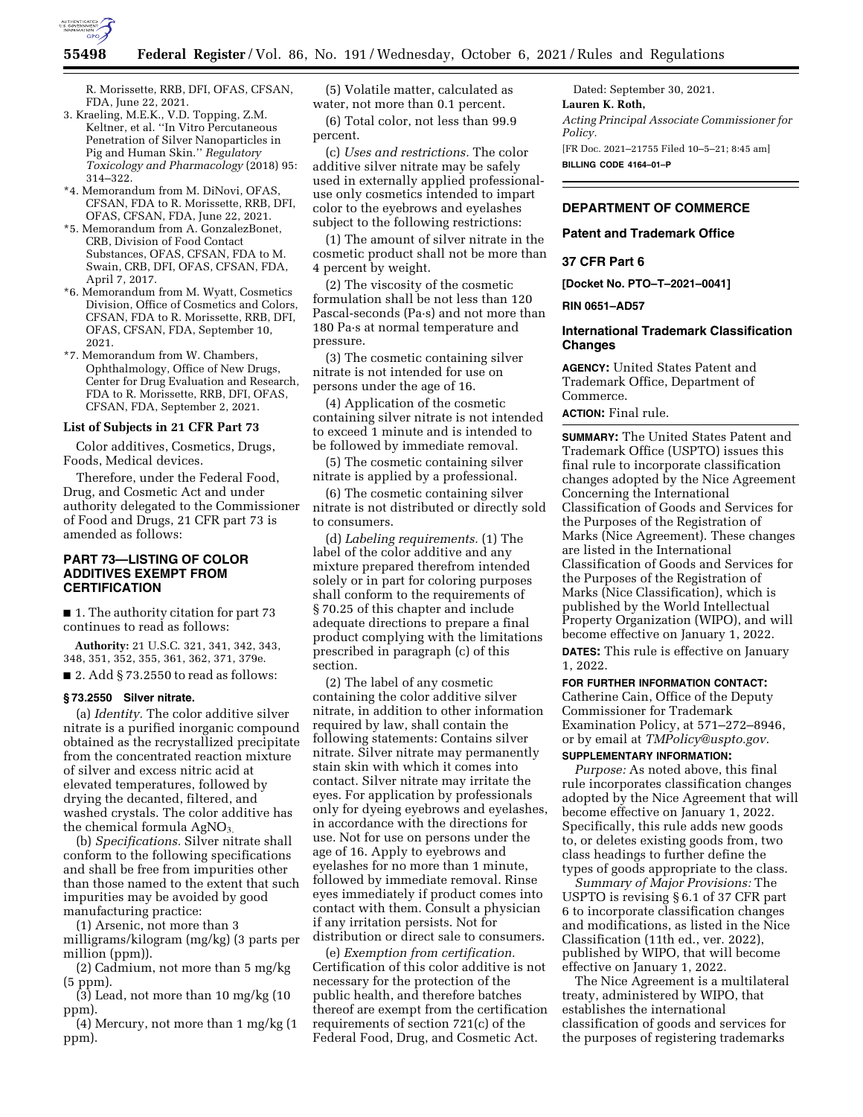

R. Morissette, RRB, DFI, OFAS, CFSAN, FDA, June 22, 2021.

- 3. Kraeling, M.E.K., V.D. Topping, Z.M. Keltner, et al. ''In Vitro Percutaneous Penetration of Silver Nanoparticles in Pig and Human Skin.'' *Regulatory Toxicology and Pharmacology* (2018) 95: 314–322.
- \*4. Memorandum from M. DiNovi, OFAS, CFSAN, FDA to R. Morissette, RRB, DFI, OFAS, CFSAN, FDA, June 22, 2021.
- \*5. Memorandum from A. GonzalezBonet, CRB, Division of Food Contact Substances, OFAS, CFSAN, FDA to M. Swain, CRB, DFI, OFAS, CFSAN, FDA, April 7, 2017.
- \*6. Memorandum from M. Wyatt, Cosmetics Division, Office of Cosmetics and Colors, CFSAN, FDA to R. Morissette, RRB, DFI, OFAS, CFSAN, FDA, September 10, 2021.
- \*7. Memorandum from W. Chambers, Ophthalmology, Office of New Drugs, Center for Drug Evaluation and Research, FDA to R. Morissette, RRB, DFI, OFAS, CFSAN, FDA, September 2, 2021.

## **List of Subjects in 21 CFR Part 73**

Color additives, Cosmetics, Drugs, Foods, Medical devices.

Therefore, under the Federal Food, Drug, and Cosmetic Act and under authority delegated to the Commissioner of Food and Drugs, 21 CFR part 73 is amended as follows:

# **PART 73—LISTING OF COLOR ADDITIVES EXEMPT FROM CERTIFICATION**

■ 1. The authority citation for part 73 continues to read as follows:

**Authority:** 21 U.S.C. 321, 341, 342, 343, 348, 351, 352, 355, 361, 362, 371, 379e.  $\blacksquare$  2. Add § 73.2550 to read as follows:

# **§ 73.2550 Silver nitrate.**

(a) *Identity.* The color additive silver nitrate is a purified inorganic compound obtained as the recrystallized precipitate from the concentrated reaction mixture of silver and excess nitric acid at elevated temperatures, followed by drying the decanted, filtered, and washed crystals. The color additive has the chemical formula  $AgNO<sub>3</sub>$ .

(b) *Specifications.* Silver nitrate shall conform to the following specifications and shall be free from impurities other than those named to the extent that such impurities may be avoided by good manufacturing practice:

(1) Arsenic, not more than 3 milligrams/kilogram (mg/kg) (3 parts per million (ppm)).

(2) Cadmium, not more than 5 mg/kg (5 ppm).

(3) Lead, not more than 10 mg/kg (10 ppm).

(4) Mercury, not more than 1 mg/kg (1 ppm).

(5) Volatile matter, calculated as water, not more than 0.1 percent.

(6) Total color, not less than 99.9 percent.

(c) *Uses and restrictions.* The color additive silver nitrate may be safely used in externally applied professionaluse only cosmetics intended to impart color to the eyebrows and eyelashes subject to the following restrictions:

(1) The amount of silver nitrate in the cosmetic product shall not be more than 4 percent by weight.

(2) The viscosity of the cosmetic formulation shall be not less than 120 Pascal-seconds (Pa·s) and not more than 180 Pa·s at normal temperature and pressure.

(3) The cosmetic containing silver nitrate is not intended for use on persons under the age of 16.

(4) Application of the cosmetic containing silver nitrate is not intended to exceed 1 minute and is intended to be followed by immediate removal.

(5) The cosmetic containing silver nitrate is applied by a professional.

(6) The cosmetic containing silver nitrate is not distributed or directly sold to consumers.

(d) *Labeling requirements.* (1) The label of the color additive and any mixture prepared therefrom intended solely or in part for coloring purposes shall conform to the requirements of § 70.25 of this chapter and include adequate directions to prepare a final product complying with the limitations prescribed in paragraph (c) of this section.

(2) The label of any cosmetic containing the color additive silver nitrate, in addition to other information required by law, shall contain the following statements: Contains silver nitrate. Silver nitrate may permanently stain skin with which it comes into contact. Silver nitrate may irritate the eyes. For application by professionals only for dyeing eyebrows and eyelashes, in accordance with the directions for use. Not for use on persons under the age of 16. Apply to eyebrows and eyelashes for no more than 1 minute, followed by immediate removal. Rinse eyes immediately if product comes into contact with them. Consult a physician if any irritation persists. Not for distribution or direct sale to consumers.

(e) *Exemption from certification.*  Certification of this color additive is not necessary for the protection of the public health, and therefore batches thereof are exempt from the certification requirements of section 721(c) of the Federal Food, Drug, and Cosmetic Act.

Dated: September 30, 2021. **Lauren K. Roth,**  *Acting Principal Associate Commissioner for Policy.*  [FR Doc. 2021–21755 Filed 10–5–21; 8:45 am] **BILLING CODE 4164–01–P** 

# **DEPARTMENT OF COMMERCE**

## **Patent and Trademark Office**

## **37 CFR Part 6**

**[Docket No. PTO–T–2021–0041]** 

**RIN 0651–AD57** 

# **International Trademark Classification Changes**

**AGENCY:** United States Patent and Trademark Office, Department of Commerce.

# **ACTION:** Final rule.

**SUMMARY:** The United States Patent and Trademark Office (USPTO) issues this final rule to incorporate classification changes adopted by the Nice Agreement Concerning the International Classification of Goods and Services for the Purposes of the Registration of Marks (Nice Agreement). These changes are listed in the International Classification of Goods and Services for the Purposes of the Registration of Marks (Nice Classification), which is published by the World Intellectual Property Organization (WIPO), and will become effective on January 1, 2022. **DATES:** This rule is effective on January 1, 2022.

**FOR FURTHER INFORMATION CONTACT:** 

Catherine Cain, Office of the Deputy Commissioner for Trademark Examination Policy, at 571–272–8946, or by email at *[TMPolicy@uspto.gov](mailto:TMPolicy@uspto.gov)*.

#### **SUPPLEMENTARY INFORMATION:**

*Purpose:* As noted above, this final rule incorporates classification changes adopted by the Nice Agreement that will become effective on January 1, 2022. Specifically, this rule adds new goods to, or deletes existing goods from, two class headings to further define the types of goods appropriate to the class.

*Summary of Major Provisions:* The USPTO is revising § 6.1 of 37 CFR part 6 to incorporate classification changes and modifications, as listed in the Nice Classification (11th ed., ver. 2022), published by WIPO, that will become effective on January 1, 2022.

The Nice Agreement is a multilateral treaty, administered by WIPO, that establishes the international classification of goods and services for the purposes of registering trademarks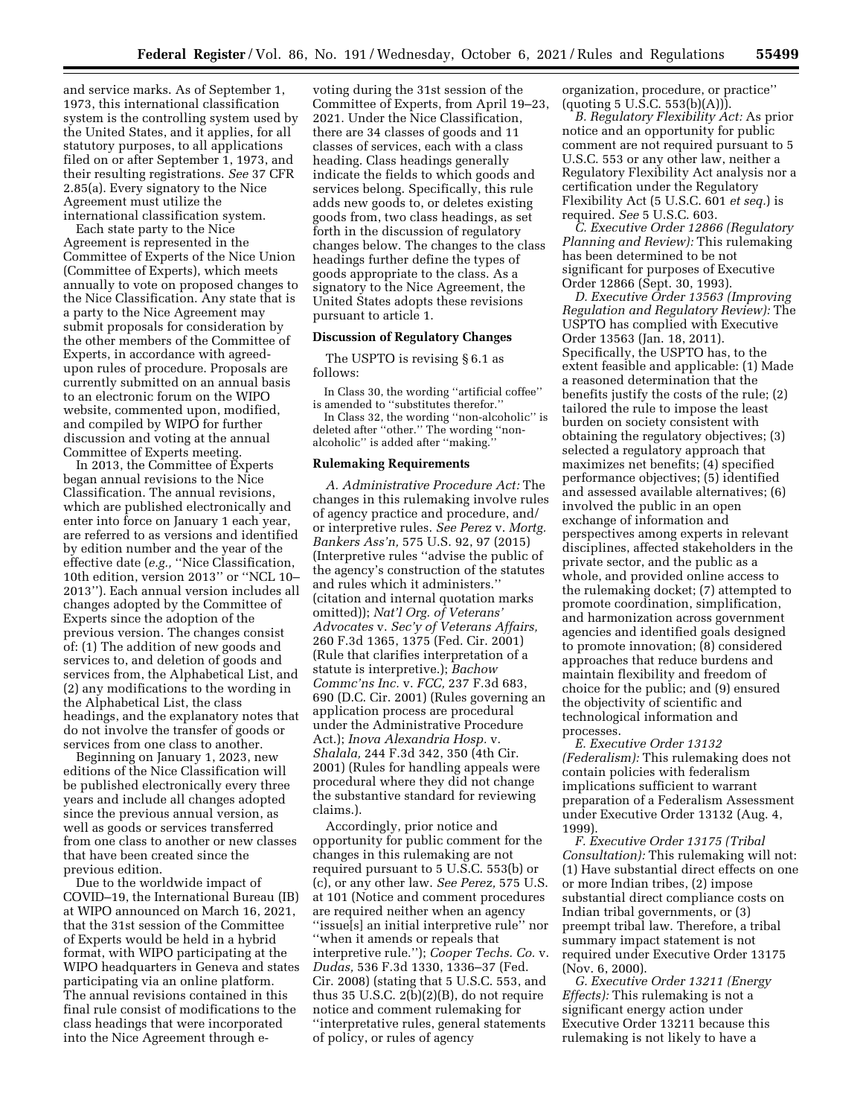and service marks. As of September 1, 1973, this international classification system is the controlling system used by the United States, and it applies, for all statutory purposes, to all applications filed on or after September 1, 1973, and their resulting registrations. *See* 37 CFR 2.85(a). Every signatory to the Nice Agreement must utilize the international classification system.

Each state party to the Nice Agreement is represented in the Committee of Experts of the Nice Union (Committee of Experts), which meets annually to vote on proposed changes to the Nice Classification. Any state that is a party to the Nice Agreement may submit proposals for consideration by the other members of the Committee of Experts, in accordance with agreedupon rules of procedure. Proposals are currently submitted on an annual basis to an electronic forum on the WIPO website, commented upon, modified, and compiled by WIPO for further discussion and voting at the annual Committee of Experts meeting.

In 2013, the Committee of Experts began annual revisions to the Nice Classification. The annual revisions, which are published electronically and enter into force on January 1 each year, are referred to as versions and identified by edition number and the year of the effective date (*e.g.,* ''Nice Classification, 10th edition, version 2013'' or ''NCL 10– 2013''). Each annual version includes all changes adopted by the Committee of Experts since the adoption of the previous version. The changes consist of: (1) The addition of new goods and services to, and deletion of goods and services from, the Alphabetical List, and (2) any modifications to the wording in the Alphabetical List, the class headings, and the explanatory notes that do not involve the transfer of goods or services from one class to another.

Beginning on January 1, 2023, new editions of the Nice Classification will be published electronically every three years and include all changes adopted since the previous annual version, as well as goods or services transferred from one class to another or new classes that have been created since the previous edition.

Due to the worldwide impact of COVID–19, the International Bureau (IB) at WIPO announced on March 16, 2021, that the 31st session of the Committee of Experts would be held in a hybrid format, with WIPO participating at the WIPO headquarters in Geneva and states participating via an online platform. The annual revisions contained in this final rule consist of modifications to the class headings that were incorporated into the Nice Agreement through e-

voting during the 31st session of the Committee of Experts, from April 19–23, 2021. Under the Nice Classification, there are 34 classes of goods and 11 classes of services, each with a class heading. Class headings generally indicate the fields to which goods and services belong. Specifically, this rule adds new goods to, or deletes existing goods from, two class headings, as set forth in the discussion of regulatory changes below. The changes to the class headings further define the types of goods appropriate to the class. As a signatory to the Nice Agreement, the United States adopts these revisions pursuant to article 1.

#### **Discussion of Regulatory Changes**

The USPTO is revising § 6.1 as follows:

In Class 30, the wording ''artificial coffee'' is amended to ''substitutes therefor.''

In Class 32, the wording ''non-alcoholic'' is deleted after ''other.'' The wording ''nonalcoholic'' is added after ''making.''

#### **Rulemaking Requirements**

*A. Administrative Procedure Act:* The changes in this rulemaking involve rules of agency practice and procedure, and/ or interpretive rules. *See Perez* v. *Mortg. Bankers Ass'n,* 575 U.S. 92, 97 (2015) (Interpretive rules ''advise the public of the agency's construction of the statutes and rules which it administers.'' (citation and internal quotation marks omitted)); *Nat'l Org. of Veterans' Advocates* v. *Sec'y of Veterans Affairs,*  260 F.3d 1365, 1375 (Fed. Cir. 2001) (Rule that clarifies interpretation of a statute is interpretive.); *Bachow Commc'ns Inc.* v. *FCC,* 237 F.3d 683, 690 (D.C. Cir. 2001) (Rules governing an application process are procedural under the Administrative Procedure Act.); *Inova Alexandria Hosp.* v. *Shalala,* 244 F.3d 342, 350 (4th Cir. 2001) (Rules for handling appeals were procedural where they did not change the substantive standard for reviewing claims.).

Accordingly, prior notice and opportunity for public comment for the changes in this rulemaking are not required pursuant to 5 U.S.C. 553(b) or (c), or any other law. *See Perez,* 575 U.S. at 101 (Notice and comment procedures are required neither when an agency ''issue[s] an initial interpretive rule'' nor ''when it amends or repeals that interpretive rule.''); *Cooper Techs. Co.* v. *Dudas,* 536 F.3d 1330, 1336–37 (Fed. Cir. 2008) (stating that 5 U.S.C. 553, and thus 35 U.S.C. 2(b)(2)(B), do not require notice and comment rulemaking for ''interpretative rules, general statements of policy, or rules of agency

organization, procedure, or practice''  $($ quoting 5 U.S.C. 553 $(b)(A))$ .

*B. Regulatory Flexibility Act:* As prior notice and an opportunity for public comment are not required pursuant to 5 U.S.C. 553 or any other law, neither a Regulatory Flexibility Act analysis nor a certification under the Regulatory Flexibility Act (5 U.S.C. 601 *et seq.*) is required. *See* 5 U.S.C. 603.

*C. Executive Order 12866 (Regulatory Planning and Review):* This rulemaking has been determined to be not significant for purposes of Executive Order 12866 (Sept. 30, 1993).

*D. Executive Order 13563 (Improving Regulation and Regulatory Review):* The USPTO has complied with Executive Order 13563 (Jan. 18, 2011). Specifically, the USPTO has, to the extent feasible and applicable: (1) Made a reasoned determination that the benefits justify the costs of the rule; (2) tailored the rule to impose the least burden on society consistent with obtaining the regulatory objectives; (3) selected a regulatory approach that maximizes net benefits; (4) specified performance objectives; (5) identified and assessed available alternatives; (6) involved the public in an open exchange of information and perspectives among experts in relevant disciplines, affected stakeholders in the private sector, and the public as a whole, and provided online access to the rulemaking docket; (7) attempted to promote coordination, simplification, and harmonization across government agencies and identified goals designed to promote innovation; (8) considered approaches that reduce burdens and maintain flexibility and freedom of choice for the public; and (9) ensured the objectivity of scientific and technological information and processes.

*E. Executive Order 13132 (Federalism):* This rulemaking does not contain policies with federalism implications sufficient to warrant preparation of a Federalism Assessment under Executive Order 13132 (Aug. 4, 1999).

*F. Executive Order 13175 (Tribal Consultation):* This rulemaking will not: (1) Have substantial direct effects on one or more Indian tribes, (2) impose substantial direct compliance costs on Indian tribal governments, or (3) preempt tribal law. Therefore, a tribal summary impact statement is not required under Executive Order 13175 (Nov. 6, 2000).

*G. Executive Order 13211 (Energy Effects):* This rulemaking is not a significant energy action under Executive Order 13211 because this rulemaking is not likely to have a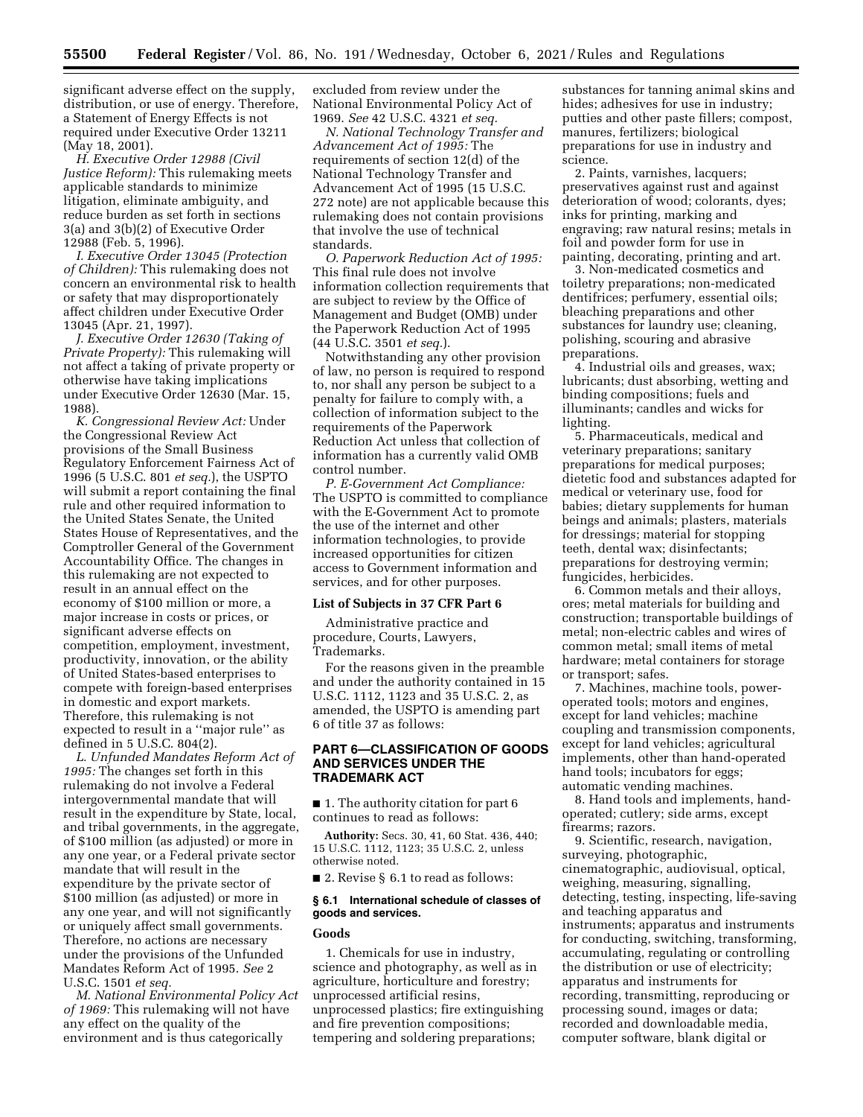significant adverse effect on the supply, distribution, or use of energy. Therefore, a Statement of Energy Effects is not required under Executive Order 13211 (May 18, 2001).

*H. Executive Order 12988 (Civil Justice Reform):* This rulemaking meets applicable standards to minimize litigation, eliminate ambiguity, and reduce burden as set forth in sections 3(a) and 3(b)(2) of Executive Order 12988 (Feb. 5, 1996).

*I. Executive Order 13045 (Protection of Children):* This rulemaking does not concern an environmental risk to health or safety that may disproportionately affect children under Executive Order 13045 (Apr. 21, 1997).

*J. Executive Order 12630 (Taking of Private Property):* This rulemaking will not affect a taking of private property or otherwise have taking implications under Executive Order 12630 (Mar. 15, 1988).

*K. Congressional Review Act:* Under the Congressional Review Act provisions of the Small Business Regulatory Enforcement Fairness Act of 1996 (5 U.S.C. 801 *et seq.*), the USPTO will submit a report containing the final rule and other required information to the United States Senate, the United States House of Representatives, and the Comptroller General of the Government Accountability Office. The changes in this rulemaking are not expected to result in an annual effect on the economy of \$100 million or more, a major increase in costs or prices, or significant adverse effects on competition, employment, investment, productivity, innovation, or the ability of United States-based enterprises to compete with foreign-based enterprises in domestic and export markets. Therefore, this rulemaking is not expected to result in a ''major rule'' as defined in 5 U.S.C. 804(2).

*L. Unfunded Mandates Reform Act of 1995:* The changes set forth in this rulemaking do not involve a Federal intergovernmental mandate that will result in the expenditure by State, local, and tribal governments, in the aggregate, of \$100 million (as adjusted) or more in any one year, or a Federal private sector mandate that will result in the expenditure by the private sector of \$100 million (as adjusted) or more in any one year, and will not significantly or uniquely affect small governments. Therefore, no actions are necessary under the provisions of the Unfunded Mandates Reform Act of 1995. *See* 2 U.S.C. 1501 *et seq.* 

*M. National Environmental Policy Act of 1969:* This rulemaking will not have any effect on the quality of the environment and is thus categorically

excluded from review under the National Environmental Policy Act of 1969. *See* 42 U.S.C. 4321 *et seq.* 

*N. National Technology Transfer and Advancement Act of 1995:* The requirements of section 12(d) of the National Technology Transfer and Advancement Act of 1995 (15 U.S.C. 272 note) are not applicable because this rulemaking does not contain provisions that involve the use of technical standards.

*O. Paperwork Reduction Act of 1995:*  This final rule does not involve information collection requirements that are subject to review by the Office of Management and Budget (OMB) under the Paperwork Reduction Act of 1995 (44 U.S.C. 3501 *et seq.*).

Notwithstanding any other provision of law, no person is required to respond to, nor shall any person be subject to a penalty for failure to comply with, a collection of information subject to the requirements of the Paperwork Reduction Act unless that collection of information has a currently valid OMB control number.

*P. E-Government Act Compliance:*  The USPTO is committed to compliance with the E-Government Act to promote the use of the internet and other information technologies, to provide increased opportunities for citizen access to Government information and services, and for other purposes.

## **List of Subjects in 37 CFR Part 6**

Administrative practice and procedure, Courts, Lawyers, Trademarks.

For the reasons given in the preamble and under the authority contained in 15 U.S.C. 1112, 1123 and 35 U.S.C. 2, as amended, the USPTO is amending part 6 of title 37 as follows:

# **PART 6—CLASSIFICATION OF GOODS AND SERVICES UNDER THE TRADEMARK ACT**

■ 1. The authority citation for part 6 continues to read as follows:

**Authority:** Secs. 30, 41, 60 Stat. 436, 440; 15 U.S.C. 1112, 1123; 35 U.S.C. 2, unless otherwise noted.

■ 2. Revise § 6.1 to read as follows:

#### **§ 6.1 International schedule of classes of goods and services.**

#### **Goods**

1. Chemicals for use in industry, science and photography, as well as in agriculture, horticulture and forestry; unprocessed artificial resins, unprocessed plastics; fire extinguishing and fire prevention compositions; tempering and soldering preparations;

substances for tanning animal skins and hides; adhesives for use in industry; putties and other paste fillers; compost, manures, fertilizers; biological preparations for use in industry and science.

2. Paints, varnishes, lacquers; preservatives against rust and against deterioration of wood; colorants, dyes; inks for printing, marking and engraving; raw natural resins; metals in foil and powder form for use in painting, decorating, printing and art.

3. Non-medicated cosmetics and toiletry preparations; non-medicated dentifrices; perfumery, essential oils; bleaching preparations and other substances for laundry use; cleaning, polishing, scouring and abrasive preparations.

4. Industrial oils and greases, wax; lubricants; dust absorbing, wetting and binding compositions; fuels and illuminants; candles and wicks for lighting.

5. Pharmaceuticals, medical and veterinary preparations; sanitary preparations for medical purposes; dietetic food and substances adapted for medical or veterinary use, food for babies; dietary supplements for human beings and animals; plasters, materials for dressings; material for stopping teeth, dental wax; disinfectants; preparations for destroying vermin; fungicides, herbicides.

6. Common metals and their alloys, ores; metal materials for building and construction; transportable buildings of metal; non-electric cables and wires of common metal; small items of metal hardware; metal containers for storage or transport; safes.

7. Machines, machine tools, poweroperated tools; motors and engines, except for land vehicles; machine coupling and transmission components, except for land vehicles; agricultural implements, other than hand-operated hand tools; incubators for eggs; automatic vending machines.

8. Hand tools and implements, handoperated; cutlery; side arms, except firearms; razors.

9. Scientific, research, navigation, surveying, photographic, cinematographic, audiovisual, optical, weighing, measuring, signalling, detecting, testing, inspecting, life-saving and teaching apparatus and instruments; apparatus and instruments for conducting, switching, transforming, accumulating, regulating or controlling the distribution or use of electricity; apparatus and instruments for recording, transmitting, reproducing or processing sound, images or data; recorded and downloadable media, computer software, blank digital or